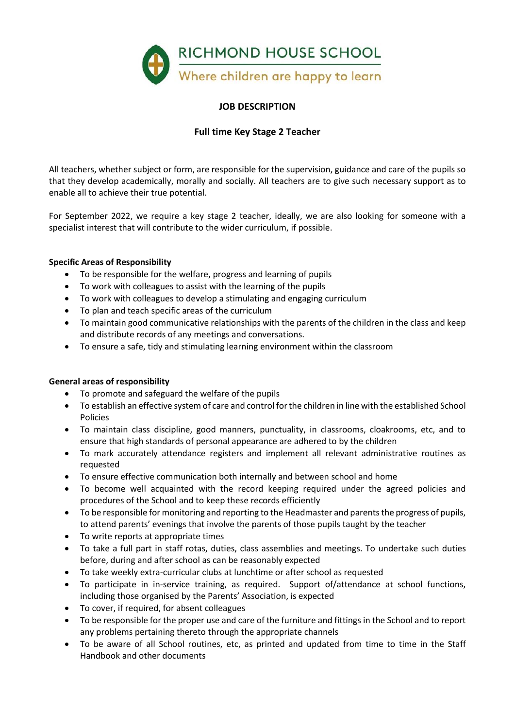

## **JOB DESCRIPTION**

## **Full time Key Stage 2 Teacher**

All teachers, whether subject or form, are responsible for the supervision, guidance and care of the pupils so that they develop academically, morally and socially. All teachers are to give such necessary support as to enable all to achieve their true potential.

For September 2022, we require a key stage 2 teacher, ideally, we are also looking for someone with a specialist interest that will contribute to the wider curriculum, if possible.

## **Specific Areas of Responsibility**

- To be responsible for the welfare, progress and learning of pupils
- To work with colleagues to assist with the learning of the pupils
- To work with colleagues to develop a stimulating and engaging curriculum
- To plan and teach specific areas of the curriculum
- To maintain good communicative relationships with the parents of the children in the class and keep and distribute records of any meetings and conversations.
- To ensure a safe, tidy and stimulating learning environment within the classroom

## **General areas of responsibility**

- To promote and safeguard the welfare of the pupils
- To establish an effective system of care and control for the children in line with the established School Policies
- To maintain class discipline, good manners, punctuality, in classrooms, cloakrooms, etc, and to ensure that high standards of personal appearance are adhered to by the children
- To mark accurately attendance registers and implement all relevant administrative routines as requested
- To ensure effective communication both internally and between school and home
- To become well acquainted with the record keeping required under the agreed policies and procedures of the School and to keep these records efficiently
- To be responsible for monitoring and reporting to the Headmaster and parents the progress of pupils, to attend parents' evenings that involve the parents of those pupils taught by the teacher
- To write reports at appropriate times
- To take a full part in staff rotas, duties, class assemblies and meetings. To undertake such duties before, during and after school as can be reasonably expected
- To take weekly extra-curricular clubs at lunchtime or after school as requested
- To participate in in-service training, as required. Support of/attendance at school functions, including those organised by the Parents' Association, is expected
- To cover, if required, for absent colleagues
- To be responsible for the proper use and care of the furniture and fittings in the School and to report any problems pertaining thereto through the appropriate channels
- To be aware of all School routines, etc, as printed and updated from time to time in the Staff Handbook and other documents